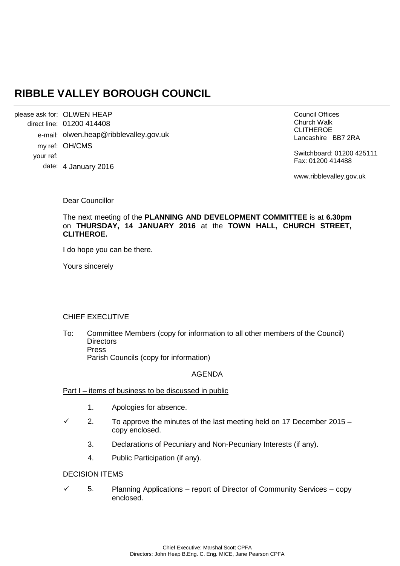# **RIBBLE VALLEY BOROUGH COUNCIL**

OLWEN HEAP please ask for: 01200 414408 direct line: e-mail: olwen.heap@ribblevalley.gov.uk my ref: OH/CMS 4 January 2016 date: your ref:

Council Offices Church Walk CLITHEROE Lancashire BB7 2RA

Switchboard: 01200 425111 Fax: 01200 414488

www.ribblevalley.gov.uk

Dear Councillor

The next meeting of the **PLANNING AND DEVELOPMENT COMMITTEE** is at **6.30pm**  on **THURSDAY, 14 JANUARY 2016** at the **TOWN HALL, CHURCH STREET, CLITHEROE.**

I do hope you can be there.

Yours sincerely

## CHIEF EXECUTIVE

To: Committee Members (copy for information to all other members of the Council) **Directors** Press Parish Councils (copy for information)

## AGENDA

#### Part I – items of business to be discussed in public

- 1. Apologies for absence.
- 2. To approve the minutes of the last meeting held on 17 December 2015 copy enclosed.
	- 3. Declarations of Pecuniary and Non-Pecuniary Interests (if any).
	- 4. Public Participation (if any).

# DECISION ITEMS

 $\checkmark$  5. Planning Applications – report of Director of Community Services – copy enclosed.